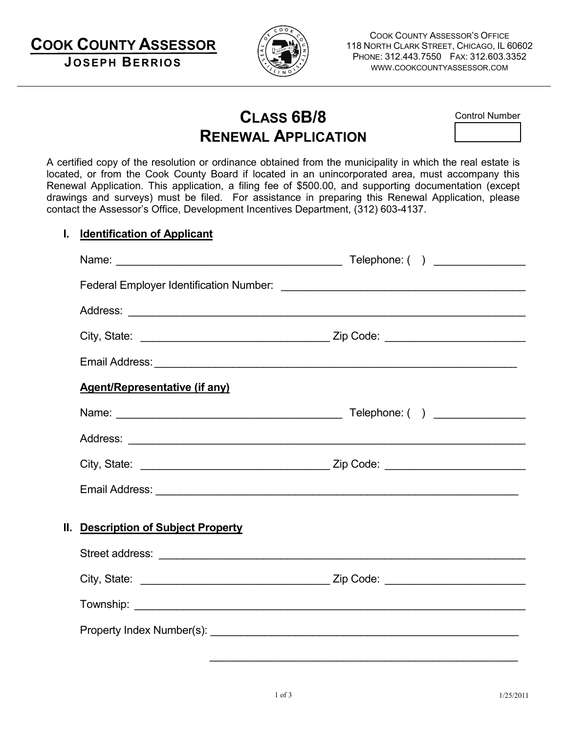**COOK COUNTY ASSESSOR JOSEPH BERRIOS**



COOK COUNTY ASSESSOR'S OFFICE 118 NORTH CLARK STREET, CHICAGO, IL 60602 PHONE: 312.443.7550 FAX: 312.603.3352 WWW.COOKCOUNTYASSESSOR.COM

# **CLASS 6B/8 RENEWAL APPLICATION**

Control Number

A certified copy of the resolution or ordinance obtained from the municipality in which the real estate is located, or from the Cook County Board if located in an unincorporated area, must accompany this Renewal Application. This application, a filing fee of \$500.00, and supporting documentation (except drawings and surveys) must be filed. For assistance in preparing this Renewal Application, please contact the Assessor's Office, Development Incentives Department, (312) 603-4137.

## **I. Identification of Applicant**

|                                      | Telephone: ( ) ______________ |
|--------------------------------------|-------------------------------|
|                                      |                               |
|                                      |                               |
|                                      |                               |
|                                      |                               |
| <b>Agent/Representative (if any)</b> |                               |
|                                      |                               |
|                                      |                               |
|                                      |                               |
| Email Address: <u>Communications</u> |                               |
| II. Description of Subject Property  |                               |
|                                      |                               |
|                                      |                               |
|                                      |                               |
|                                      |                               |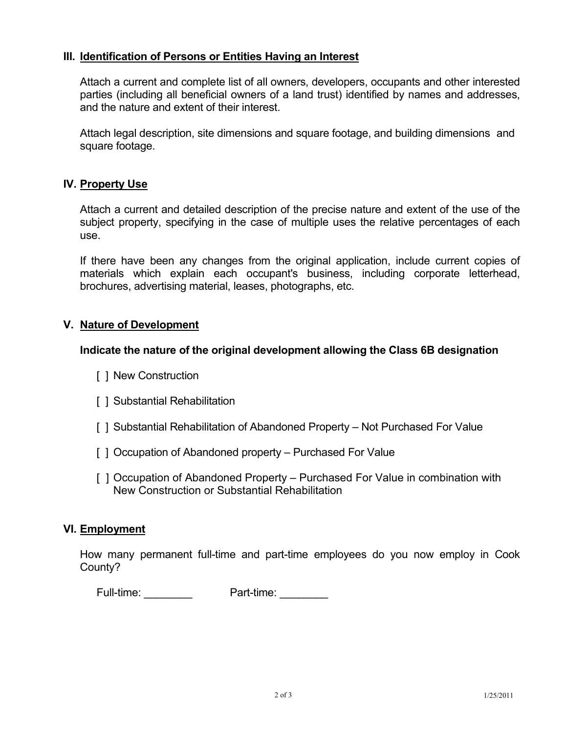## **III. Identification of Persons or Entities Having an Interest**

Attach a current and complete list of all owners, developers, occupants and other interested parties (including all beneficial owners of a land trust) identified by names and addresses, and the nature and extent of their interest.

Attach legal description, site dimensions and square footage, and building dimensions and square footage.

### **IV. Property Use**

Attach a current and detailed description of the precise nature and extent of the use of the subject property, specifying in the case of multiple uses the relative percentages of each use.

If there have been any changes from the original application, include current copies of materials which explain each occupant's business, including corporate letterhead, brochures, advertising material, leases, photographs, etc.

## **V. Nature of Development**

### **Indicate the nature of the original development allowing the Class 6B designation**

- [ ] New Construction
- [ ] Substantial Rehabilitation
- [ ] Substantial Rehabilitation of Abandoned Property Not Purchased For Value
- [] Occupation of Abandoned property Purchased For Value
- [ ] Occupation of Abandoned Property Purchased For Value in combination with New Construction or Substantial Rehabilitation

### **VI. Employment**

How many permanent full-time and part-time employees do you now employ in Cook County?

Full-time: \_\_\_\_\_\_\_\_\_\_\_\_ Part-time: \_\_\_\_\_\_\_\_\_